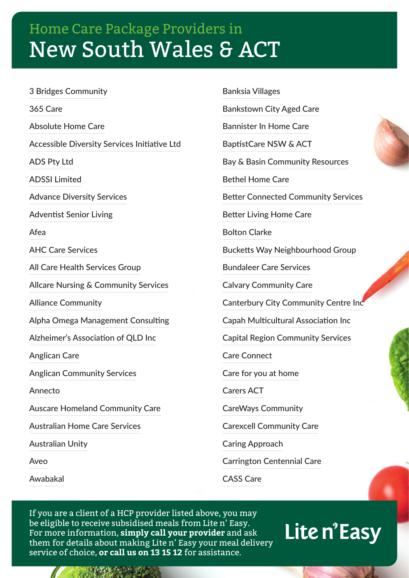3 Bridges Community 365 Care Absolute Home Care Accessible Diversity Services Initiative Ltd ADS Pty Ltd ADSSI Limited Advance Diversity Services Adventist Senior Living Afea AHC Care Services All Care Health Services Group Allcare Nursing & Community Services Alliance Community Alpha Omega Management Consulting Alzheimer's Association of QLD Inc Anglican Care Anglican Community Services Annecto Auscare Homeland Community Care Australian Home Care Services Australian Unity Aveo

Awabakal

Banksia Villages

Bankstown City Aged Care

Bannister In Home Care

BaptistCare NSW & ACT

Bay & Basin Community Resources

Bethel Home Care

Better Connected Community Services

Better Living Home Care

Bolton Clarke

Bucketts Way Neighbourhood Group

Bundaleer Care Services

Calvary Community Care

Canterbury City Community Centre Inc

Capah Multicultural Association Inc

Capital Region Community Services

Care Connect

Care for you at home

Carers ACT

CareWays Community

Carexcell Community Care

Caring Approach

Carrington Centennial Care

CASS Care

If you are a client of a HCP provider listed above, you may be eligible to receive subsidised meals from Lite n' Easy. For more information, **simply call your provider** and ask them for details about making Lite n' Easy your meal delivery service of choice, **or call us on 13 15 12** for assistance.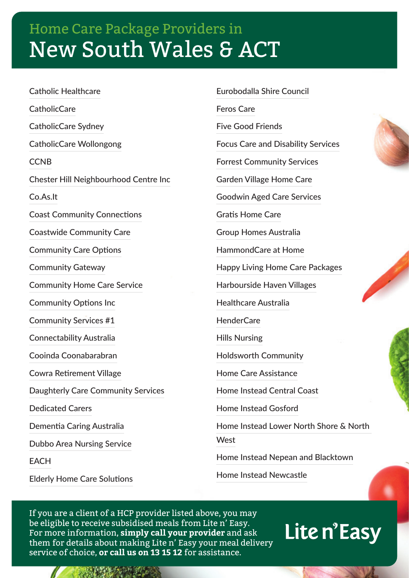Catholic Healthcare **CatholicCare** CatholicCare Sydney CatholicCare Wollongong **CCNB** Chester Hill Neighbourhood Centre Inc Co.As.It Coast Community Connections Coastwide Community Care Community Care Options Community Gateway Community Home Care Service Community Options Inc Community Services #1 Connectability Australia Cooinda Coonabarabran Cowra Retirement Village Daughterly Care Community Services Dedicated Carers Dementia Caring Australia Dubbo Area Nursing Service **EACH** Elderly Home Care Solutions

Eurobodalla Shire Council Feros Care Five Good Friends Focus Care and Disability Services Forrest Community Services Garden Village Home Care Goodwin Aged Care Services Gratis Home Care Group Homes Australia HammondCare at Home Happy Living Home Care Packages Harbourside Haven Villages Healthcare Australia HenderCare Hills Nursing Holdsworth Community Home Care Assistance Home Instead Central Coast Home Instead Gosford Home Instead Lower North Shore & North **West** Home Instead Nepean and Blacktown Home Instead Newcastle

If you are a client of a HCP provider listed above, you may be eligible to receive subsidised meals from Lite n' Easy. For more information, **simply call your provider** and ask them for details about making Lite n' Easy your meal delivery service of choice, **or call us on 13 15 12** for assistance.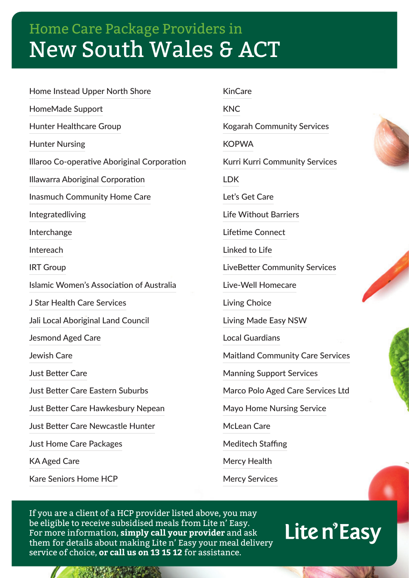Home Instead Upper North Shore HomeMade Support Hunter Healthcare Group Hunter Nursing Illaroo Co-operative Aboriginal Corporation Illawarra Aboriginal Corporation Inasmuch Community Home Care Integratedliving Interchange Intereach IRT Group Islamic Women's Association of Australia J Star Health Care Services Jali Local Aboriginal Land Council Jesmond Aged Care Jewish Care Just Better Care Just Better Care Eastern Suburbs Just Better Care Hawkesbury Nepean Just Better Care Newcastle Hunter Just Home Care Packages KA Aged Care Kare Seniors Home HCP

KNC Kogarah Community Services **KOPWA** Kurri Kurri Community Services LDK Let's Get Care Life Without Barriers Lifetime Connect Linked to Life LiveBetter Community Services Live-Well Homecare Living Choice Living Made Easy NSW Local Guardians Maitland Community Care Services Manning Support Services Marco Polo Aged Care Services Ltd Mayo Home Nursing Service McLean Care Meditech Staffing Mercy Health

Mercy Services

KinCare

If you are a client of a HCP provider listed above, you may be eligible to receive subsidised meals from Lite n' Easy. For more information, **simply call your provider** and ask them for details about making Lite n' Easy your meal delivery service of choice, **or call us on 13 15 12** for assistance.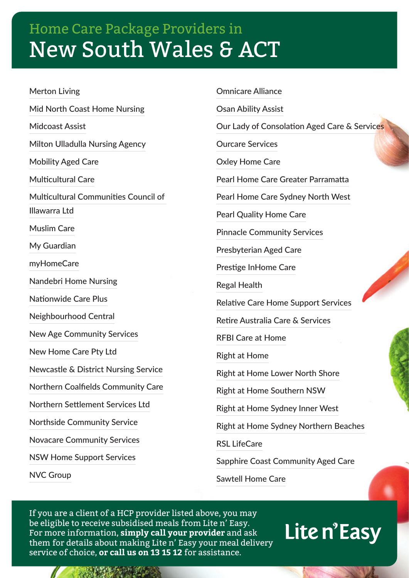Merton Living Mid North Coast Home Nursing Midcoast Assist Milton Ulladulla Nursing Agency Mobility Aged Care Multicultural Care Multicultural Communities Council of Illawarra Ltd Muslim Care My Guardian myHomeCare Nandebri Home Nursing Nationwide Care Plus Neighbourhood Central New Age Community Services New Home Care Pty Ltd Newcastle & District Nursing Service Northern Coalfields Community Care Northern Settlement Services Ltd Northside Community Service Novacare Community Services NSW Home Support Services

NVC Group

Omnicare Alliance Osan Ability Assist Our Lady of Consolation Aged Care & Services Ourcare Services Oxley Home Care Pearl Home Care Greater Parramatta Pearl Home Care Sydney North West Pearl Quality Home Care Pinnacle Community Services Presbyterian Aged Care Prestige InHome Care Regal Health Relative Care Home Support Services Retire Australia Care & Services RFBI Care at Home Right at Home Right at Home Lower North Shore Right at Home Southern NSW Right at Home Sydney Inner West Right at Home Sydney Northern Beaches RSL LifeCare

Sapphire Coast Community Aged Care

Sawtell Home Care

If you are a client of a HCP provider listed above, you may be eligible to receive subsidised meals from Lite n' Easy. For more information, **simply call your provider** and ask them for details about making Lite n' Easy your meal delivery service of choice, **or call us on 13 15 12** for assistance.